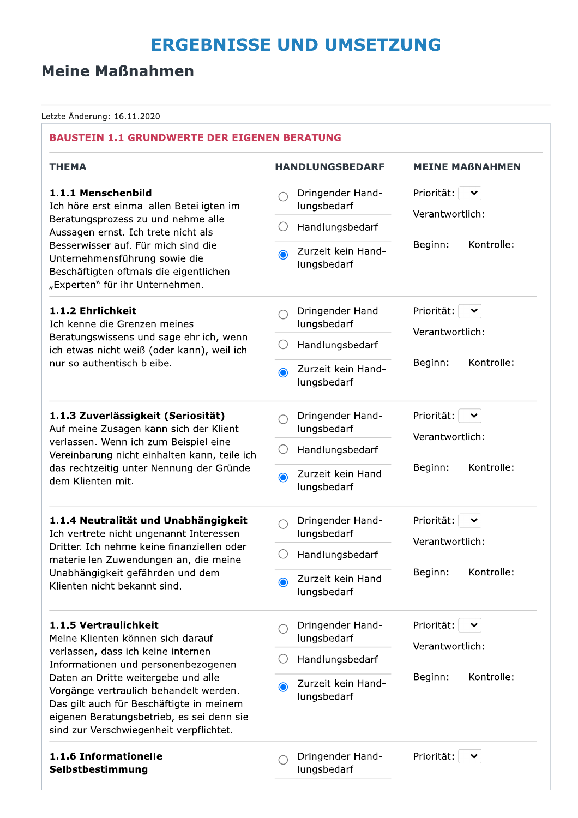# **ERGEBNISSE UND UMSETZUNG**

# **Meine Maßnahmen**

Letzte Änderung: 16.11.2020

| <b>BAUSTEIN 1.1 GRUNDWERTE DER EIGENEN BERATUNG</b>                                                                                                                                                                                    |                                   |                                    |
|----------------------------------------------------------------------------------------------------------------------------------------------------------------------------------------------------------------------------------------|-----------------------------------|------------------------------------|
| <b>THEMA</b>                                                                                                                                                                                                                           | <b>HANDLUNGSBEDARF</b>            | <b>MEINE MAßNAHMEN</b>             |
| 1.1.1 Menschenbild<br>Ich höre erst einmal allen Beteiligten im                                                                                                                                                                        | Dringender Hand-<br>lungsbedarf   | Priorität:<br>丷<br>Verantwortlich: |
| Beratungsprozess zu und nehme alle<br>Aussagen ernst. Ich trete nicht als                                                                                                                                                              | Handlungsbedarf                   |                                    |
| Besserwisser auf. Für mich sind die<br>Unternehmensführung sowie die<br>Beschäftigten oftmals die eigentlichen<br>"Experten" für ihr Unternehmen.                                                                                      | Zurzeit kein Hand-<br>lungsbedarf | Kontrolle:<br>Beginn:              |
| 1.1.2 Ehrlichkeit<br>Ich kenne die Grenzen meines                                                                                                                                                                                      | Dringender Hand-<br>lungsbedarf   | Priorität:<br>⌄                    |
| Beratungswissens und sage ehrlich, wenn<br>ich etwas nicht weiß (oder kann), weil ich                                                                                                                                                  | Handlungsbedarf                   | Verantwortlich:                    |
| nur so authentisch bleibe.                                                                                                                                                                                                             | Zurzeit kein Hand-<br>lungsbedarf | Kontrolle:<br>Beginn:              |
| 1.1.3 Zuverlässigkeit (Seriosität)<br>Auf meine Zusagen kann sich der Klient<br>verlassen. Wenn ich zum Beispiel eine<br>Vereinbarung nicht einhalten kann, teile ich<br>das rechtzeitig unter Nennung der Gründe<br>dem Klienten mit. | Dringender Hand-<br>lungsbedarf   | Priorität:<br>╰<br>Verantwortlich: |
|                                                                                                                                                                                                                                        | Handlungsbedarf                   |                                    |
|                                                                                                                                                                                                                                        | Zurzeit kein Hand-<br>lungsbedarf | Kontrolle:<br>Beginn:              |
| 1.1.4 Neutralität und Unabhängigkeit<br>Ich vertrete nicht ungenannt Interessen                                                                                                                                                        | Dringender Hand-<br>lungsbedarf   | Priorität:<br>丷                    |
| Dritter. Ich nehme keine finanziellen oder<br>materiellen Zuwendungen an, die meine                                                                                                                                                    | Handlungsbedarf                   | Verantwortlich:                    |
| Unabhängigkeit gefährden und dem<br>Klienten nicht bekannt sind.                                                                                                                                                                       | Zurzeit kein Hand-<br>lungsbedarf | Kontrolle:<br>Beginn:              |
| 1.1.5 Vertraulichkeit<br>Meine Klienten können sich darauf                                                                                                                                                                             | Dringender Hand-<br>lungsbedarf   | Priorität:<br>Verantwortlich:      |
| verlassen, dass ich keine internen<br>Informationen und personenbezogenen                                                                                                                                                              | Handlungsbedarf                   |                                    |
| Daten an Dritte weitergebe und alle<br>Vorgänge vertraulich behandelt werden.<br>Das gilt auch für Beschäftigte in meinem<br>eigenen Beratungsbetrieb, es sei denn sie<br>sind zur Verschwiegenheit verpflichtet.                      | Zurzeit kein Hand-<br>lungsbedarf | Kontrolle:<br>Beginn:              |
| 1.1.6 Informationelle<br>Selbstbestimmung                                                                                                                                                                                              | Dringender Hand-<br>lungsbedarf   | Priorität:                         |
|                                                                                                                                                                                                                                        |                                   |                                    |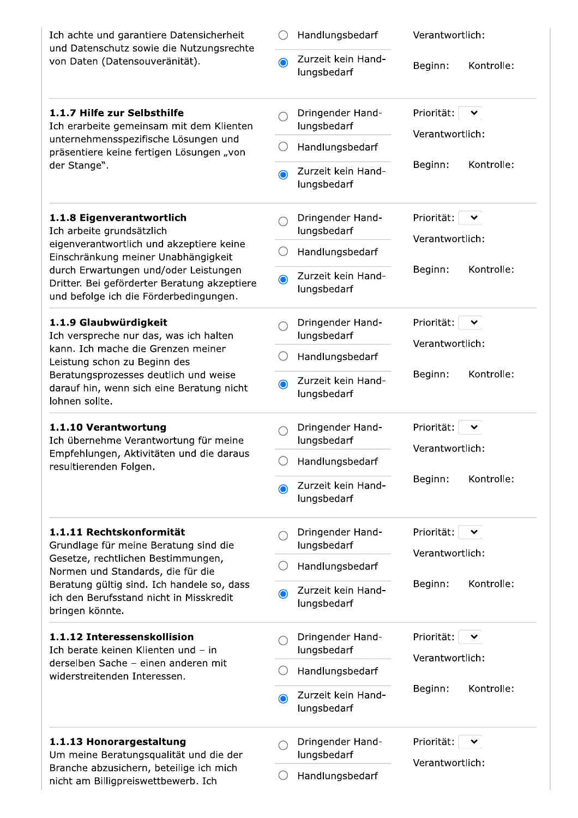| Ich achte und garantiere Datensicherheit                                                                                                                                                                                                      |           | Handlungsbedarf                   | Verantwortlich:                    |
|-----------------------------------------------------------------------------------------------------------------------------------------------------------------------------------------------------------------------------------------------|-----------|-----------------------------------|------------------------------------|
| und Datenschutz sowie die Nutzungsrechte<br>von Daten (Datensouveränität).                                                                                                                                                                    | $\bullet$ | Zurzeit kein Hand-<br>lungsbedarf | Kontrolle:<br>Beginn:              |
| 1.1.7 Hilfe zur Selbsthilfe<br>Ich erarbeite gemeinsam mit dem Klienten                                                                                                                                                                       |           | Dringender Hand-<br>lungsbedarf   | Priorität:<br>Verantwortlich:      |
| unternehmensspezifische Lösungen und<br>präsentiere keine fertigen Lösungen "von                                                                                                                                                              |           | Handlungsbedarf                   |                                    |
| der Stange".                                                                                                                                                                                                                                  | $\bullet$ | Zurzeit kein Hand-<br>lungsbedarf | Kontrolle:<br>Beginn:              |
| 1.1.8 Eigenverantwortlich<br>Ich arbeite grundsätzlich                                                                                                                                                                                        |           | Dringender Hand-<br>lungsbedarf   | Priorität:<br>Verantwortlich:      |
| eigenverantwortlich und akzeptiere keine<br>Einschränkung meiner Unabhängigkeit                                                                                                                                                               |           | Handlungsbedarf                   |                                    |
| durch Erwartungen und/oder Leistungen<br>Dritter. Bei geförderter Beratung akzeptiere<br>und befolge ich die Förderbedingungen.                                                                                                               | $\bullet$ | Zurzeit kein Hand-<br>lungsbedarf | Kontrolle:<br>Beginn:              |
| 1.1.9 Glaubwürdigkeit<br>Ich verspreche nur das, was ich halten<br>kann. Ich mache die Grenzen meiner<br>Leistung schon zu Beginn des<br>Beratungsprozesses deutlich und weise<br>darauf hin, wenn sich eine Beratung nicht<br>lohnen sollte. |           | Dringender Hand-<br>lungsbedarf   | Priorität:<br>Verantwortlich:      |
|                                                                                                                                                                                                                                               |           | Handlungsbedarf                   |                                    |
|                                                                                                                                                                                                                                               | ◉         | Zurzeit kein Hand-<br>lungsbedarf | Kontrolle:<br>Beginn:              |
| 1.1.10 Verantwortung<br>Ich übernehme Verantwortung für meine                                                                                                                                                                                 |           | Dringender Hand-<br>lungsbedarf   | Priorität:                         |
| Empfehlungen, Aktivitäten und die daraus<br>resultierenden Folgen.                                                                                                                                                                            |           | Handlungsbedarf                   | Verantwortlich:                    |
|                                                                                                                                                                                                                                               | $\bullet$ | Zurzeit kein Hand-<br>lungsbedarf | Kontrolle:<br>Beginn:              |
| 1.1.11 Rechtskonformität<br>Grundlage für meine Beratung sind die                                                                                                                                                                             |           | Dringender Hand-<br>lungsbedarf   | Priorität:<br>丷<br>Verantwortlich: |
| Gesetze, rechtlichen Bestimmungen,<br>Normen und Standards, die für die                                                                                                                                                                       |           | Handlungsbedarf                   |                                    |
| Beratung gültig sind. Ich handele so, dass<br>ich den Berufsstand nicht in Misskredit<br>bringen könnte.                                                                                                                                      | $\bullet$ | Zurzeit kein Hand-<br>lungsbedarf | Kontrolle:<br>Beginn:              |
| 1.1.12 Interessenskollision<br>Ich berate keinen Klienten und - in                                                                                                                                                                            |           | Dringender Hand-<br>lungsbedarf   | Priorität:<br>丷<br>Verantwortlich: |
| derselben Sache - einen anderen mit<br>widerstreitenden Interessen.                                                                                                                                                                           |           | Handlungsbedarf                   |                                    |
|                                                                                                                                                                                                                                               | $\bullet$ | Zurzeit kein Hand-<br>lungsbedarf | Kontrolle:<br>Beginn:              |
| 1.1.13 Honorargestaltung<br>Um meine Beratungsqualität und die der                                                                                                                                                                            |           | Dringender Hand-<br>lungsbedarf   | Priorität:<br>丷<br>Verantwortlich: |
| Branche abzusichern, beteilige ich mich<br>nicht am Billigpreiswettbewerb. Ich                                                                                                                                                                |           | Handlungsbedarf                   |                                    |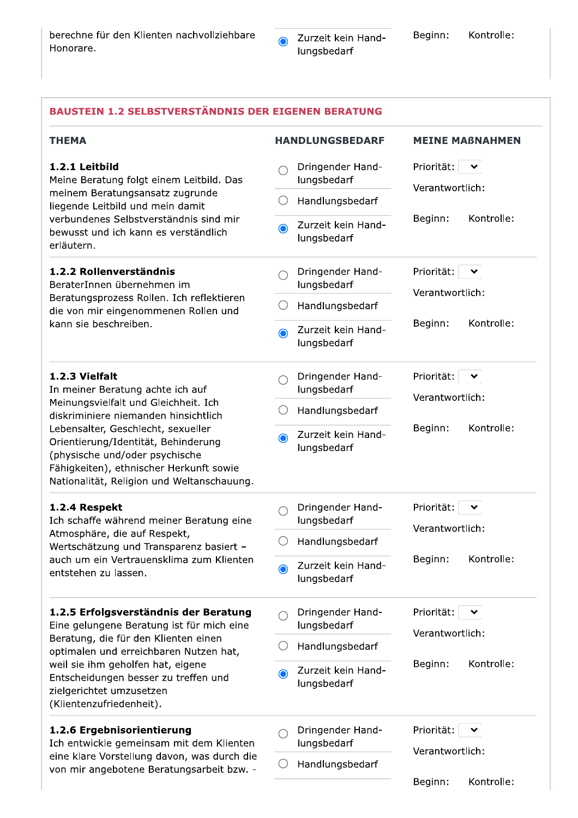Beginn:

#### **BAUSTEIN 1.2 SELBSTVERSTÄNDNIS DER EIGENEN BERATUNG THEMA HANDLUNGSBEDARF MEINE MABNAHMEN** 1.2.1 Leitbild Dringender Hand-Priorität:  $\vee$  $\cap$ Meine Beratung folgt einem Leitbild. Das lungsbedarf Verantwortlich: meinem Beratungsansatz zugrunde  $\bigcirc$  Handlungsbedarf liegende Leitbild und mein damit verbundenes Selbstverständnis sind mir Beginn: Kontrolle: Zurzeit kein Hand-∩ bewusst und ich kann es verständlich lungsbedarf erläutern. 1.2.2 Rollenverständnis Dringender Hand-Priorität:  $\blacktriangleright$  $\bigcap$ BeraterInnen übernehmen im lungsbedarf Verantwortlich: Beratungsprozess Rollen. Ich reflektieren  $\bigcirc$  Handlungsbedarf die von mir eingenommenen Rollen und Kontrolle: kann sie beschreiben. Beginn: Zurzeit kein Handlungsbedarf 1.2.3 Vielfalt Dringender Hand-Priorität:  $\checkmark$  $\bigcap$ In meiner Beratung achte ich auf lungsbedarf Verantwortlich: Meinungsvielfalt und Gleichheit. Ich  $\bigcirc$  Handlungsbedarf diskriminiere niemanden hinsichtlich Beginn: Kontrolle: Lebensalter, Geschlecht, sexueller Zurzeit kein Hand-Orientierung/Identität, Behinderung lungsbedarf (physische und/oder psychische Fähigkeiten), ethnischer Herkunft sowie Nationalität, Religion und Weltanschauung. 1.2.4 Respekt Dringender Hand-Priorität:  $\checkmark$  $\bigcap$ Ich schaffe während meiner Beratung eine lungsbedarf Verantwortlich: Atmosphäre, die auf Respekt,  $\bigcirc$  Handlungsbedarf Wertschätzung und Transparenz basiert auch um ein Vertrauensklima zum Klienten Beginn: Kontrolle: Zurzeit kein Hand- $\odot$ entstehen zu lassen. lungsbedarf 1.2.5 Erfolgsverständnis der Beratung Dringender Hand-Priorität:  $\checkmark$  $\bigcap$ Eine gelungene Beratung ist für mich eine lungsbedarf Verantwortlich: Beratung, die für den Klienten einen  $\bigcirc$  Handlungsbedarf optimalen und erreichbaren Nutzen hat, Kontrolle: Beginn: weil sie ihm geholfen hat, eigene Zurzeit kein Hand- $\odot$ Entscheidungen besser zu treffen und lungsbedarf zielgerichtet umzusetzen (Klientenzufriedenheit). 1.2.6 Ergebnisorientierung Dringender Hand-Priorität:  $\vee$  $\bigcap$ lungsbedarf Verantwortlich:

 $\bigcirc$  Handlungsbedarf

Beginn:

Kontrolle:

Ich entwickle gemeinsam mit dem Klienten eine klare Vorstellung davon, was durch die von mir angebotene Beratungsarbeit bzw. -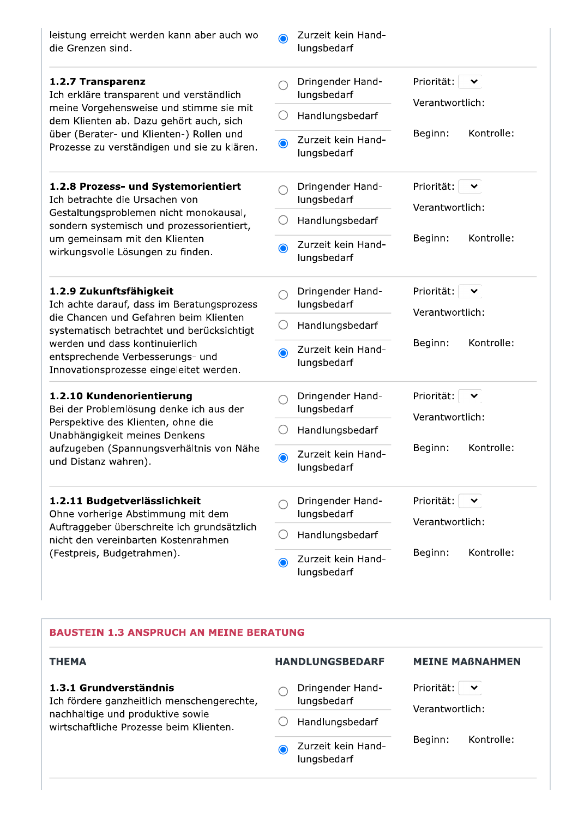| leistung erreicht werden kann aber auch wo<br>die Grenzen sind.                                                                                                               | $\odot$   | Zurzeit kein Hand-<br>lungsbedarf |                                               |
|-------------------------------------------------------------------------------------------------------------------------------------------------------------------------------|-----------|-----------------------------------|-----------------------------------------------|
| 1.2.7 Transparenz<br>Ich erkläre transparent und verständlich                                                                                                                 |           | Dringender Hand-<br>lungsbedarf   | Priorität:<br>╰<br>Verantwortlich:            |
| meine Vorgehensweise und stimme sie mit<br>dem Klienten ab. Dazu gehört auch, sich<br>über (Berater- und Klienten-) Rollen und<br>Prozesse zu verständigen und sie zu klären. |           | Handlungsbedarf                   |                                               |
|                                                                                                                                                                               | $\bullet$ | Zurzeit kein Hand-<br>lungsbedarf | Kontrolle:<br>Beginn:                         |
| 1.2.8 Prozess- und Systemorientiert<br>Ich betrachte die Ursachen von                                                                                                         |           | Dringender Hand-<br>lungsbedarf   | Priorität:<br>丷<br>Verantwortlich:            |
| Gestaltungsproblemen nicht monokausal,<br>sondern systemisch und prozessorientiert,                                                                                           |           | Handlungsbedarf                   |                                               |
| um gemeinsam mit den Klienten<br>wirkungsvolle Lösungen zu finden.                                                                                                            | $\bullet$ | Zurzeit kein Hand-<br>lungsbedarf | Kontrolle:<br>Beginn:                         |
| 1.2.9 Zukunftsfähigkeit<br>Ich achte darauf, dass im Beratungsprozess<br>die Chancen und Gefahren beim Klienten<br>systematisch betrachtet und berücksichtigt                 | ( )       | Dringender Hand-<br>lungsbedarf   | Priorität:<br>丷<br>Verantwortlich:            |
|                                                                                                                                                                               |           | Handlungsbedarf                   |                                               |
| werden und dass kontinuierlich<br>entsprechende Verbesserungs- und<br>Innovationsprozesse eingeleitet werden.                                                                 | $\bullet$ | Zurzeit kein Hand-<br>lungsbedarf | Kontrolle:<br>Beginn:                         |
| 1.2.10 Kundenorientierung<br>Bei der Problemlösung denke ich aus der                                                                                                          |           | Dringender Hand-<br>lungsbedarf   | Priorität:<br>Verantwortlich:                 |
| Perspektive des Klienten, ohne die<br>Unabhängigkeit meines Denkens                                                                                                           |           | Handlungsbedarf                   |                                               |
| aufzugeben (Spannungsverhältnis von Nähe<br>und Distanz wahren).                                                                                                              | $\bullet$ | Zurzeit kein Hand-<br>lungsbedarf | Kontrolle:<br>Beginn:                         |
| 1.2.11 Budgetverlässlichkeit<br>Ohne vorherige Abstimmung mit dem                                                                                                             |           | Dringender Hand-<br>lungsbedarf   | Priorität:<br>$\checkmark$<br>Verantwortlich: |
| Auftraggeber überschreite ich grundsätzlich<br>nicht den vereinbarten Kostenrahmen                                                                                            |           | Handlungsbedarf                   |                                               |
| (Festpreis, Budgetrahmen).                                                                                                                                                    | $\bullet$ | Zurzeit kein Hand-<br>lungsbedarf | Kontrolle:<br>Beginn:                         |

#### **BAUSTEIN 1.3 ANSPRUCH AN MEINE BERATUNG**

### **THEMA**

#### 1.3.1 Grundverständnis

Ich fördere ganzheitlich menschengerechte, nachhaltige und produktive sowie wirtschaftliche Prozesse beim Klienten.

**HANDLUNGSBEDARF** 

lungsbedarf

 $\bigcirc$  Handlungsbedarf

lungsbedarf

 $\bullet$ 

Zurzeit kein Hand-

 $\bigcirc$  Dringender Hand-

#### **MEINE MAßNAHMEN**

Priorität:  $\boxed{\smile}$ 

Verantwortlich:

Beginn: Kontrolle: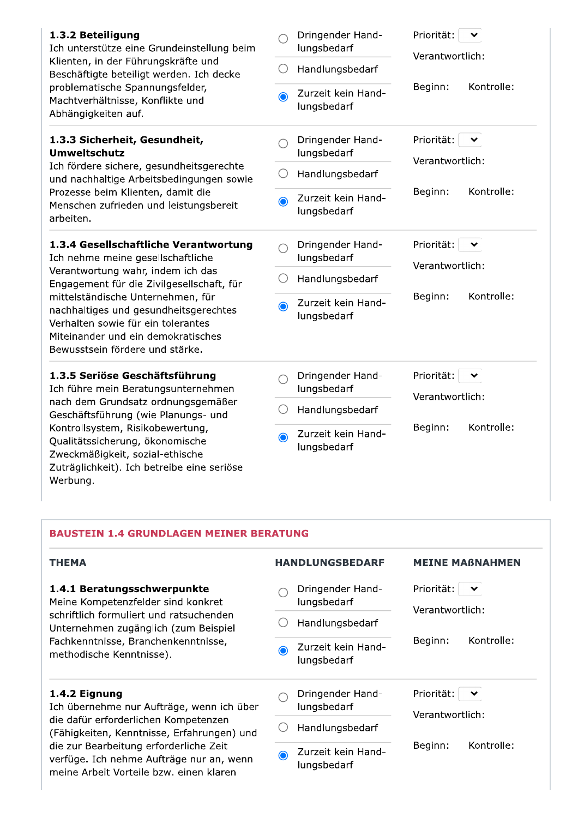| 1.3.2 Beteiligung<br>Ich unterstütze eine Grundeinstellung beim<br>Klienten, in der Führungskräfte und<br>Beschäftigte beteiligt werden. Ich decke<br>problematische Spannungsfelder,<br>Machtverhältnisse, Konflikte und<br>Abhängigkeiten auf. | ()<br>$\bigcirc$ | Dringender Hand-<br>lungsbedarf<br>Handlungsbedarf<br>Zurzeit kein Hand-<br>lungsbedarf | Priorität:<br>Verantwortlich:<br>Kontrolle:<br>Beginn: |
|--------------------------------------------------------------------------------------------------------------------------------------------------------------------------------------------------------------------------------------------------|------------------|-----------------------------------------------------------------------------------------|--------------------------------------------------------|
| 1.3.3 Sicherheit, Gesundheit,<br><b>Umweltschutz</b><br>Ich fördere sichere, gesundheitsgerechte<br>und nachhaltige Arbeitsbedingungen sowie<br>Prozesse beim Klienten, damit die<br>Menschen zufrieden und leistungsbereit<br>arbeiten.         |                  | Dringender Hand-<br>lungsbedarf<br>Handlungsbedarf                                      | Priorität:<br>$\checkmark$<br>Verantwortlich:          |
|                                                                                                                                                                                                                                                  | $\bigcirc$       | Zurzeit kein Hand-<br>lungsbedarf                                                       | Kontrolle:<br>Beginn:                                  |
| 1.3.4 Gesellschaftliche Verantwortung<br>Ich nehme meine gesellschaftliche                                                                                                                                                                       |                  | Dringender Hand-<br>lungsbedarf                                                         | Priorität:<br>$\checkmark$<br>Verantwortlich:          |
| Verantwortung wahr, indem ich das<br>Engagement für die Zivilgesellschaft, für                                                                                                                                                                   |                  | Handlungsbedarf                                                                         |                                                        |
| mittelständische Unternehmen, für<br>nachhaltiges und gesundheitsgerechtes<br>Verhalten sowie für ein tolerantes<br>Miteinander und ein demokratisches<br>Bewusstsein fördere und stärke.                                                        | $\bullet$        | Zurzeit kein Hand-<br>lungsbedarf                                                       | Beginn:<br>Kontrolle:                                  |
| 1.3.5 Seriöse Geschäftsführung<br>Ich führe mein Beratungsunternehmen                                                                                                                                                                            |                  | Dringender Hand-<br>lungsbedarf                                                         | Priorität:<br>Verantwortlich:                          |
| nach dem Grundsatz ordnungsgemäßer<br>Geschäftsführung (wie Planungs- und                                                                                                                                                                        | ( )              | Handlungsbedarf                                                                         |                                                        |
| Kontrollsystem, Risikobewertung,<br>Qualitätssicherung, ökonomische<br>Zweckmäßigkeit, sozial-ethische<br>Zuträglichkeit). Ich betreibe eine seriöse<br>Werbung.                                                                                 | $\odot$          | Zurzeit kein Hand-<br>lungsbedarf                                                       | Kontrolle:<br>Beginn:                                  |

#### **BAUSTEIN 1.4 GRUNDLAGEN MEINER BERATUNG**

| <b>THEMA</b>                                                                                                                                                                                                             | <b>HANDLUNGSBEDARF</b>            |                                               | <b>MEINE MABNAHMEN</b> |
|--------------------------------------------------------------------------------------------------------------------------------------------------------------------------------------------------------------------------|-----------------------------------|-----------------------------------------------|------------------------|
| 1.4.1 Beratungsschwerpunkte<br>Meine Kompetenzfelder sind konkret<br>schriftlich formuliert und ratsuchenden.<br>Unternehmen zugänglich (zum Beispiel<br>Fachkenntnisse, Branchenkenntnisse,<br>methodische Kenntnisse). | Dringender Hand-<br>lungsbedarf   | Priorität:<br>Verantwortlich:                 | $\checkmark$           |
|                                                                                                                                                                                                                          | Handlungsbedarf                   |                                               |                        |
|                                                                                                                                                                                                                          | Zurzeit kein Hand-<br>lungsbedarf | Kontrolle:<br>Beginn:                         |                        |
| 1.4.2 Eignung<br>Ich übernehme nur Aufträge, wenn ich über<br>die dafür erforderlichen Kompetenzen<br>(Fähigkeiten, Kenntnisse, Erfahrungen) und                                                                         | Dringender Hand-<br>lungsbedarf   | Priorität:<br>$\checkmark$<br>Verantwortlich: |                        |
|                                                                                                                                                                                                                          | Handlungsbedarf                   |                                               |                        |
| die zur Bearbeitung erforderliche Zeit<br>verfüge. Ich nehme Aufträge nur an, wenn<br>meine Arbeit Vorteile bzw. einen klaren                                                                                            | Zurzeit kein Hand-<br>lungsbedarf | Beginn:                                       | Kontrolle:             |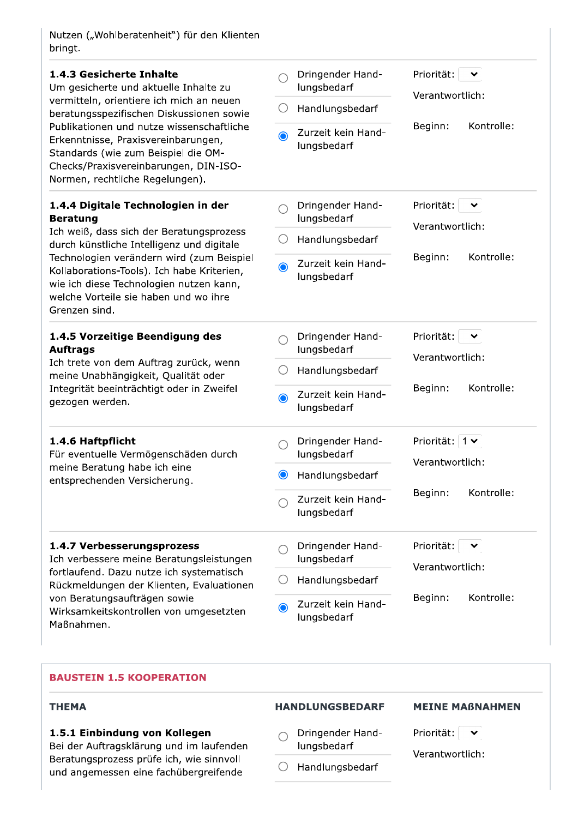Nutzen ("Wohlberatenheit") für den Klienten bringt.

|                       | Dringender Hand-<br>lungsbedarf   | Priorität:<br>丷<br>Verantwortlich:            |
|-----------------------|-----------------------------------|-----------------------------------------------|
| O                     | Handlungsbedarf                   |                                               |
| $\bullet$             | Zurzeit kein Hand-<br>lungsbedarf | Kontrolle:<br>Beginn:                         |
|                       | Dringender Hand-<br>lungsbedarf   | Priorität:<br>Verantwortlich:                 |
|                       | Handlungsbedarf                   |                                               |
| $\bullet$             | Zurzeit kein Hand-<br>lungsbedarf | Kontrolle:<br>Beginn:                         |
|                       | Dringender Hand-<br>lungsbedarf   | Priorität:<br>$\checkmark$<br>Verantwortlich: |
|                       | Handlungsbedarf                   |                                               |
| $\bullet$             | Zurzeit kein Hand-<br>lungsbedarf | Kontrolle:<br>Beginn:                         |
|                       | Dringender Hand-<br>lungsbedarf   | Priorität: $1 \vee$<br>Verantwortlich:        |
| $\mathbf{\copyright}$ | Handlungsbedarf                   |                                               |
|                       | Zurzeit kein Hand-<br>lungsbedarf | Beginn:<br>Kontrolle:                         |
|                       | Dringender Hand-<br>lungsbedarf   | Priorität:<br>$\checkmark$<br>Verantwortlich: |
| ( )                   | Handlungsbedarf                   |                                               |
|                       | Zurzeit kein Hand-                | Kontrolle:<br>Beginn:                         |
|                       |                                   |                                               |

#### **BAUSTEIN 1.5 KOOPERATION**

#### **THEMA**

### 1.5.1 Einbindung von Kollegen

Bei der Auftragsklärung und im laufenden Beratungsprozess prüfe ich, wie sinnvoll und angemessen eine fachübergreifende

### **HANDLUNGSBEDARF**

**MEINE MAßNAHMEN** 

- Dringender Hand- $\bigcap$ lungsbedarf
- $\bigcirc$  Handlungsbedarf
- Verantwortlich:

Priorität:  $\boxed{\smile}$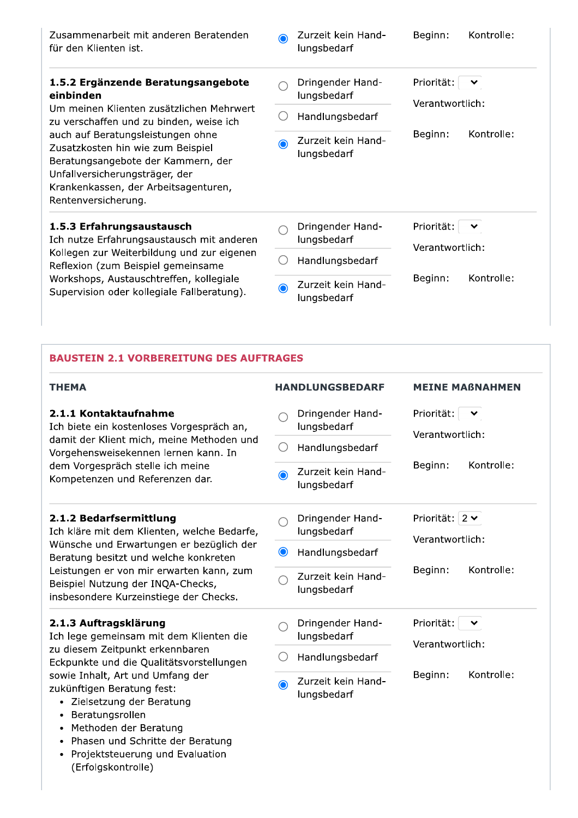| Zusammenarbeit mit anderen Beratenden<br>für den Klienten ist.                                                                                                                                                | ∩       | Zurzeit kein Hand-<br>lungsbedarf | Beginn:                                       | Kontrolle: |
|---------------------------------------------------------------------------------------------------------------------------------------------------------------------------------------------------------------|---------|-----------------------------------|-----------------------------------------------|------------|
| 1.5.2 Ergänzende Beratungsangebote<br>einbinden<br>Um meinen Klienten zusätzlichen Mehrwert<br>zu verschaffen und zu binden, weise ich                                                                        |         | Dringender Hand-<br>lungsbedarf   | Priorität:<br>Verantwortlich:                 | 丷          |
|                                                                                                                                                                                                               |         | Handlungsbedarf                   |                                               |            |
| auch auf Beratungsleistungen ohne<br>Zusatzkosten hin wie zum Beispiel<br>Beratungsangebote der Kammern, der<br>Unfallversicherungsträger, der<br>Krankenkassen, der Arbeitsagenturen,<br>Rentenversicherung. | O       | Zurzeit kein Hand-<br>lungsbedarf | Beginn:                                       | Kontrolle: |
| 1.5.3 Erfahrungsaustausch<br>Ich nutze Erfahrungsaustausch mit anderen<br>Kollegen zur Weiterbildung und zur eigenen<br>Reflexion (zum Beispiel gemeinsame                                                    |         | Dringender Hand-<br>lungsbedarf   | Priorität:<br>$\checkmark$<br>Verantwortlich: |            |
|                                                                                                                                                                                                               |         | Handlungsbedarf                   |                                               |            |
| Workshops, Austauschtreffen, kollegiale<br>Supervision oder kollegiale Fallberatung).                                                                                                                         | $\odot$ | Zurzeit kein Hand-<br>lungsbedarf | Beginn:                                       | Kontrolle: |

# **BAUSTEIN 2.1 VORBEREITUNG DES AUFTRAGES**

| <b>THEMA</b>                                                                                                                                                                                                                                                                           | <b>HANDLUNGSBEDARF</b>                          | <b>MEINE MABNAHMEN</b>                        |
|----------------------------------------------------------------------------------------------------------------------------------------------------------------------------------------------------------------------------------------------------------------------------------------|-------------------------------------------------|-----------------------------------------------|
| 2.1.1 Kontaktaufnahme<br>Ich biete ein kostenloses Vorgespräch an,<br>damit der Klient mich, meine Methoden und<br>Vorgehensweisekennen lernen kann. In<br>dem Vorgespräch stelle ich meine<br>Kompetenzen und Referenzen dar.                                                         | Dringender Hand-<br>lungsbedarf                 | Priorität:<br>Verantwortlich:                 |
|                                                                                                                                                                                                                                                                                        | Handlungsbedarf<br>$\cdot$ .                    |                                               |
|                                                                                                                                                                                                                                                                                        | Zurzeit kein Hand-<br>$\bigcirc$<br>lungsbedarf | Kontrolle:<br>Beginn:                         |
| 2.1.2 Bedarfsermittlung<br>Ich kläre mit dem Klienten, welche Bedarfe,<br>Wünsche und Erwartungen er bezüglich der<br>Beratung besitzt und welche konkreten<br>Leistungen er von mir erwarten kann, zum<br>Beispiel Nutzung der INQA-Checks,<br>insbesondere Kurzeinstiege der Checks. | Dringender Hand-<br>lungsbedarf                 | Priorität: $2 \times$<br>Verantwortlich:      |
|                                                                                                                                                                                                                                                                                        | $\bullet$<br>Handlungsbedarf                    |                                               |
|                                                                                                                                                                                                                                                                                        | Zurzeit kein Hand-<br>lungsbedarf               | Kontrolle:<br>Beginn:                         |
| 2.1.3 Auftragsklärung<br>Ich lege gemeinsam mit dem Klienten die                                                                                                                                                                                                                       | Dringender Hand-<br>lungsbedarf                 | Priorität:<br>$\checkmark$<br>Verantwortlich: |
| zu diesem Zeitpunkt erkennbaren<br>Eckpunkte und die Qualitätsvorstellungen                                                                                                                                                                                                            | Handlungsbedarf                                 |                                               |
| sowie Inhalt, Art und Umfang der<br>zukünftigen Beratung fest:<br>Zielsetzung der Beratung<br>Beratungsrollen<br>Methoden der Beratung<br>$\bullet$                                                                                                                                    | Zurzeit kein Hand-<br>$\bullet$<br>lungsbedarf  | Kontrolle:<br>Beginn:                         |

- Phasen und Schritte der Beratung
- Projektsteuerung und Evaluation<br>(Erfolgskontrolle)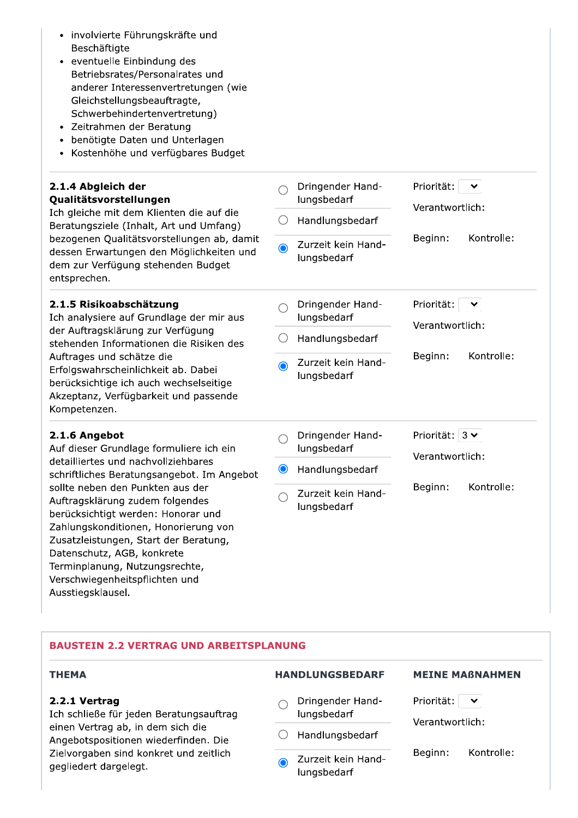- · involvierte Führungskräfte und Beschäftigte
- · eventuelle Einbindung des Betriebsrates/Personalrates und anderer Interessenvertretungen (wie Gleichstellungsbeauftragte, Schwerbehindertenvertretung)
- · Zeitrahmen der Beratung
- benötigte Daten und Unterlagen
- Kostenhöhe und verfügbares Budget

#### 2.1.4 Abgleich der Qualitätsvorstellungen

Ich gleiche mit dem Klienten die auf d Beratungsziele (Inhalt, Art und Umfar bezogenen Qualitätsvorstellungen ab, dessen Erwartungen den Möglichkeite dem zur Verfügung stehenden Budge entsprechen.

#### 2.1.5 Risikoabschätzung

Ich analysiere auf Grundlage der mir der Auftragsklärung zur Verfügung stehenden Informationen die Risiken Auftrages und schätze die Erfolgswahrscheinlichkeit ab. Dabei berücksichtige ich auch wechselseitig Akzeptanz, Verfügbarkeit und passen Kompetenzen.

#### 2.1.6 Angebot

Auf dieser Grundlage formuliere ich ei detailliertes und nachvollziehbares schriftliches Beratungsangebot. Im Ar sollte neben den Punkten aus der Auftragsklärung zudem folgendes berücksichtigt werden: Honorar und Zahlungskonditionen, Honorierung vo Zusatzleistungen, Start der Beratung Datenschutz, AGB, konkrete Terminplanung, Nutzungsrechte, Verschwiegenheitspflichten und Ausstiegsklausel.

| die<br>ng)<br>, damit<br>en und<br>t | Dringender Hand-<br>lungsbedarf<br>Handlungsbedarf<br>Zurzeit kein Hand-<br>$\bigcap$<br>lungsbedarf | Priorität:<br>Verantwortlich:<br>Kontrolle:<br>Beginn:             |
|--------------------------------------|------------------------------------------------------------------------------------------------------|--------------------------------------------------------------------|
| aus<br>des<br>e<br>de                | Dringender Hand-<br>lungsbedarf<br>Handlungsbedarf<br>Zurzeit kein Hand-<br>∩<br>lungsbedarf         | Priorität:<br>Verantwortlich:<br>Kontrolle:<br>Beginn:             |
| in<br>ngebot<br>'n<br>ı              | Dringender Hand-<br>lungsbedarf<br>Handlungsbedarf<br>$\bullet$<br>Zurzeit kein Hand-<br>lungsbedarf | Priorität:<br>$3 \vee$<br>Verantwortlich:<br>Kontrolle:<br>Beginn: |

# **BAUSTEIN 2.2 VERTRAG UND ARBEITSPLANUNG**

#### **THEMA**

#### 2.2.1 Vertrag

Ich schließe für jeden Beratungsauftrag einen Vertrag ab, in dem sich die Angebotspositionen wiederfinden. Die Zielvorgaben sind konkret und zeitlich gegliedert dargelegt.

# **HANDLUNGSBEDARF**

# **MEINE MABNAHMEN**

Dringender Hand- $\bigcap$ lungsbedarf

 $\bigcirc$  Handlungsbedarf

Zurzeit kein Hand- $\bigcirc$ lungsbedarf

Priorität:

Verantwortlich:

Beginn: Kontrolle: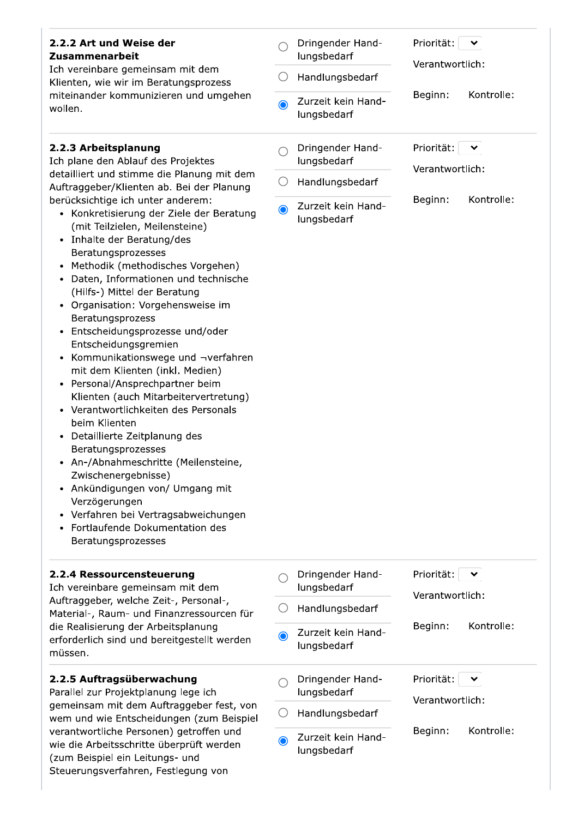#### Priorität:  $\blacktriangledown$ 2.2.2 Art und Weise der Dringender Hand- $\bigcap$ lungsbedarf Zusammenarbeit Verantwortlich: Ich vereinbare gemeinsam mit dem  $\bigcirc$  Handlungsbedarf Klienten, wie wir im Beratungsprozess Beginn: Kontrolle: miteinander kommunizieren und umgehen Zurzeit kein Hand- $\bigodot$ wollen. lungsbedarf 2.2.3 Arbeitsplanung Dringender Hand-Priorität:  $\checkmark$  $\bigcap$ Ich plane den Ablauf des Projektes lungsbedarf Verantwortlich: detailliert und stimme die Planung mit dem  $\bigcirc$  Handlungsbedarf Auftraggeber/Klienten ab. Bei der Planung Beginn: Kontrolle: berücksichtige ich unter anderem: Zurzeit kein Hand- $\bullet$ • Konkretisierung der Ziele der Beratung lungsbedarf (mit Teilzielen, Meilensteine) • Inhalte der Beratung/des Beratungsprozesses • Methodik (methodisches Vorgehen) • Daten, Informationen und technische (Hilfs-) Mittel der Beratung • Organisation: Vorgehensweise im Beratungsprozess • Entscheidungsprozesse und/oder Entscheidungsgremien • Kommunikationswege und ¬verfahren mit dem Klienten (inkl. Medien) • Personal/Ansprechpartner beim Klienten (auch Mitarbeitervertretung) • Verantwortlichkeiten des Personals beim Klienten • Detaillierte Zeitplanung des Beratungsprozesses • An-/Abnahmeschritte (Meilensteine, Zwischenergebnisse) • Ankündigungen von/ Umgang mit Verzögerungen • Verfahren bei Vertragsabweichungen • Fortlaufende Dokumentation des Beratungsprozesses 2.2.4 Ressourcensteuerung Dringender Hand-Priorität:  $\checkmark$  $\bigcap$ Ich vereinbare gemeinsam mit dem lungsbedarf Verantwortlich: Auftraggeber, welche Zeit-, Personal-,  $\bigcirc$ Handlungsbedarf Material-, Raum- und Finanzressourcen für die Realisierung der Arbeitsplanung Beginn: Kontrolle: Zurzeit kein Hand-∩ erforderlich sind und bereitgestellt werden lungsbedarf müssen. 2.2.5 Auftragsüberwachung Dringender Hand-Priorität:  $\checkmark$  $\bigcap$ Parallel zur Projektplanung lege ich lungsbedarf Verantwortlich: gemeinsam mit dem Auftraggeber fest, von  $\bigcirc$  Handlungsbedarf wem und wie Entscheidungen (zum Beispiel verantwortliche Personen) getroffen und Beginn: Kontrolle: Zurzeit kein Hand- $\odot$ wie die Arbeitsschritte überprüft werden lungsbedarf (zum Beispiel ein Leitungs- und Steuerungsverfahren, Festlegung von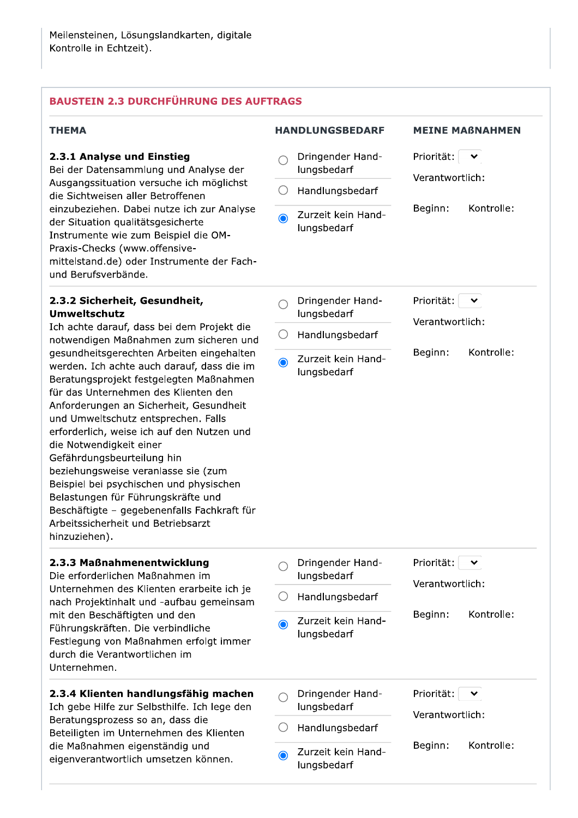# **BAUSTEIN 2.3 DURCHFÜHRUNG DES AUFTRAGS**

| THEMA                                                                                                                                                                                                                                                                                                                                                                                                                                                                                                                                                                                             |           | <b>HANDLUNGSBEDARF</b>            | <b>MEINE MABNAHMEN</b>                        |
|---------------------------------------------------------------------------------------------------------------------------------------------------------------------------------------------------------------------------------------------------------------------------------------------------------------------------------------------------------------------------------------------------------------------------------------------------------------------------------------------------------------------------------------------------------------------------------------------------|-----------|-----------------------------------|-----------------------------------------------|
| 2.3.1 Analyse und Einstieg<br>Bei der Datensammlung und Analyse der                                                                                                                                                                                                                                                                                                                                                                                                                                                                                                                               |           | Dringender Hand-<br>lungsbedarf   | Priorität:<br>Verantwortlich:                 |
| Ausgangssituation versuche ich möglichst<br>die Sichtweisen aller Betroffenen                                                                                                                                                                                                                                                                                                                                                                                                                                                                                                                     | ()        | Handlungsbedarf                   |                                               |
| einzubeziehen. Dabei nutze ich zur Analyse<br>der Situation qualitätsgesicherte<br>Instrumente wie zum Beispiel die OM-<br>Praxis-Checks (www.offensive-<br>mittelstand.de) oder Instrumente der Fach-<br>und Berufsverbände.                                                                                                                                                                                                                                                                                                                                                                     | $\bullet$ | Zurzeit kein Hand-<br>lungsbedarf | Kontrolle:<br>Beginn:                         |
| 2.3.2 Sicherheit, Gesundheit,<br><b>Umweltschutz</b>                                                                                                                                                                                                                                                                                                                                                                                                                                                                                                                                              |           | Dringender Hand-<br>lungsbedarf   | Priorität:<br>$\checkmark$<br>Verantwortlich: |
| Ich achte darauf, dass bei dem Projekt die<br>notwendigen Maßnahmen zum sicheren und                                                                                                                                                                                                                                                                                                                                                                                                                                                                                                              | O         | Handlungsbedarf                   |                                               |
| gesundheitsgerechten Arbeiten eingehalten<br>werden. Ich achte auch darauf, dass die im<br>Beratungsprojekt festgelegten Maßnahmen<br>für das Unternehmen des Klienten den<br>Anforderungen an Sicherheit, Gesundheit<br>und Umweltschutz entsprechen. Falls<br>erforderlich, weise ich auf den Nutzen und<br>die Notwendigkeit einer<br>Gefährdungsbeurteilung hin<br>beziehungsweise veranlasse sie (zum<br>Beispiel bei psychischen und physischen<br>Belastungen für Führungskräfte und<br>Beschäftigte - gegebenenfalls Fachkraft für<br>Arbeitssicherheit und Betriebsarzt<br>hinzuziehen). | $\odot$   | Zurzeit kein Hand-<br>lungsbedarf | Kontrolle:<br>Beginn:                         |
| 2.3.3 Maßnahmenentwicklung<br>Die erforderlichen Maßnahmen im                                                                                                                                                                                                                                                                                                                                                                                                                                                                                                                                     |           | Dringender Hand-<br>lungsbedarf   | Priorität:<br>丷                               |
| Unternehmen des Klienten erarbeite ich je<br>nach Projektinhalt und -aufbau gemeinsam                                                                                                                                                                                                                                                                                                                                                                                                                                                                                                             | ()        | Handlungsbedarf                   | Verantwortlich:                               |
| mit den Beschäftigten und den<br>Führungskräften. Die verbindliche<br>Festlegung von Maßnahmen erfolgt immer<br>durch die Verantwortlichen im<br>Unternehmen.                                                                                                                                                                                                                                                                                                                                                                                                                                     | $\bullet$ | Zurzeit kein Hand-<br>lungsbedarf | Kontrolle:<br>Beginn:                         |
| 2.3.4 Klienten handlungsfähig machen<br>Ich gebe Hilfe zur Selbsthilfe. Ich lege den                                                                                                                                                                                                                                                                                                                                                                                                                                                                                                              |           | Dringender Hand-<br>lungsbedarf   | Priorität:<br>丷<br>Verantwortlich:            |
| Beratungsprozess so an, dass die<br>Beteiligten im Unternehmen des Klienten                                                                                                                                                                                                                                                                                                                                                                                                                                                                                                                       |           | Handlungsbedarf                   |                                               |
| die Maßnahmen eigenständig und<br>eigenverantwortlich umsetzen können.                                                                                                                                                                                                                                                                                                                                                                                                                                                                                                                            | $\bullet$ | Zurzeit kein Hand-<br>lungsbedarf | Kontrolle:<br>Beginn:                         |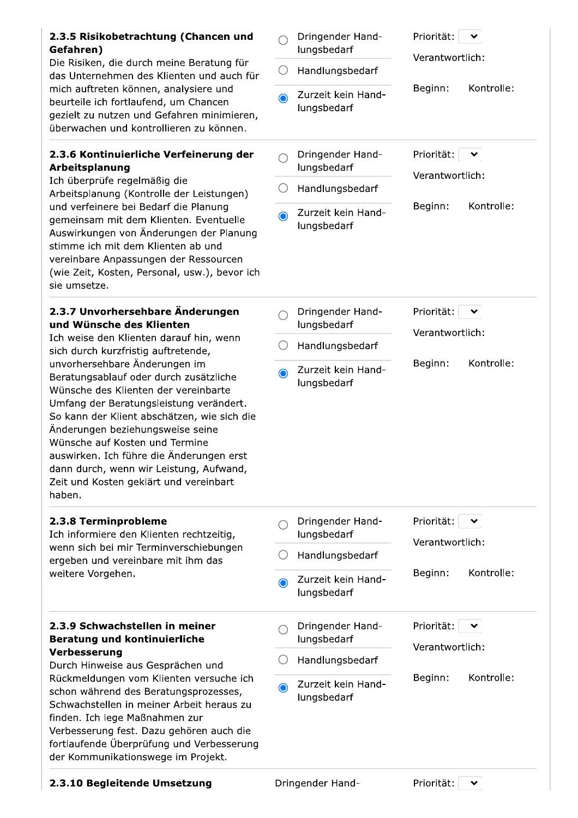| 2.3.5 Risikobetrachtung (Chancen und<br>Gefahren)<br>Die Risiken, die durch meine Beratung für<br>das Unternehmen des Klienten und auch für<br>mich auftreten können, analysiere und<br>beurteile ich fortlaufend, um Chancen<br>gezielt zu nutzen und Gefahren minimieren,<br>überwachen und kontrollieren zu können.                                                                                                                                                                                                                                                       | $\bullet$ | Dringender Hand-<br>lungsbedarf<br>Handlungsbedarf<br>Zurzeit kein Hand-<br>lungsbedarf | Priorität:<br>Verantwortlich:<br>Kontrolle:<br>Beginn:                 |
|------------------------------------------------------------------------------------------------------------------------------------------------------------------------------------------------------------------------------------------------------------------------------------------------------------------------------------------------------------------------------------------------------------------------------------------------------------------------------------------------------------------------------------------------------------------------------|-----------|-----------------------------------------------------------------------------------------|------------------------------------------------------------------------|
| 2.3.6 Kontinuierliche Verfeinerung der<br>Arbeitsplanung<br>Ich überprüfe regelmäßig die<br>Arbeitsplanung (Kontrolle der Leistungen)<br>und verfeinere bei Bedarf die Planung<br>gemeinsam mit dem Klienten. Eventuelle<br>Auswirkungen von Änderungen der Planung<br>stimme ich mit dem Klienten ab und<br>vereinbare Anpassungen der Ressourcen<br>(wie Zeit, Kosten, Personal, usw.), bevor ich<br>sie umsetze.                                                                                                                                                          | $\odot$   | Dringender Hand-<br>lungsbedarf<br>Handlungsbedarf<br>Zurzeit kein Hand-<br>lungsbedarf | Priorität:<br>$\checkmark$<br>Verantwortlich:<br>Kontrolle:<br>Beginn: |
| 2.3.7 Unvorhersehbare Änderungen<br>und Wünsche des Klienten<br>Ich weise den Klienten darauf hin, wenn<br>sich durch kurzfristig auftretende,<br>unvorhersehbare Änderungen im<br>Beratungsablauf oder durch zusätzliche<br>Wünsche des Klienten der vereinbarte<br>Umfang der Beratungsleistung verändert.<br>So kann der Klient abschätzen, wie sich die<br>Änderungen beziehungsweise seine<br>Wünsche auf Kosten und Termine<br>auswirken. Ich führe die Änderungen erst<br>dann durch, wenn wir Leistung, Aufwand,<br>Zeit und Kosten geklärt und vereinbart<br>haben. | $\odot$   | Dringender Hand-<br>lungsbedarf<br>Handlungsbedarf<br>Zurzeit kein Hand-<br>lungsbedarf | Priorität:<br>Verantwortlich:<br>Kontrolle:<br>Beginn:                 |
| 2.3.8 Terminprobleme<br>Ich informiere den Klienten rechtzeitig,<br>wenn sich bei mir Terminverschiebungen<br>ergeben und vereinbare mit ihm das<br>weitere Vorgehen.                                                                                                                                                                                                                                                                                                                                                                                                        | $\bullet$ | Dringender Hand-<br>lungsbedarf<br>Handlungsbedarf<br>Zurzeit kein Hand-<br>lungsbedarf | Priorität:<br>$\checkmark$<br>Verantwortlich:<br>Kontrolle:<br>Beginn: |
| 2.3.9 Schwachstellen in meiner<br><b>Beratung und kontinuierliche</b><br>Verbesserung<br>Durch Hinweise aus Gesprächen und<br>Rückmeldungen vom Klienten versuche ich<br>schon während des Beratungsprozesses,<br>Schwachstellen in meiner Arbeit heraus zu<br>finden. Ich lege Maßnahmen zur<br>Verbesserung fest. Dazu gehören auch die<br>fortlaufende Überprüfung und Verbesserung<br>der Kommunikationswege im Projekt.                                                                                                                                                 | $\bullet$ | Dringender Hand-<br>lungsbedarf<br>Handlungsbedarf<br>Zurzeit kein Hand-<br>lungsbedarf | Priorität:<br>$\checkmark$<br>Verantwortlich:<br>Kontrolle:<br>Beginn: |

# 2.3.10 Begleitende Umsetzung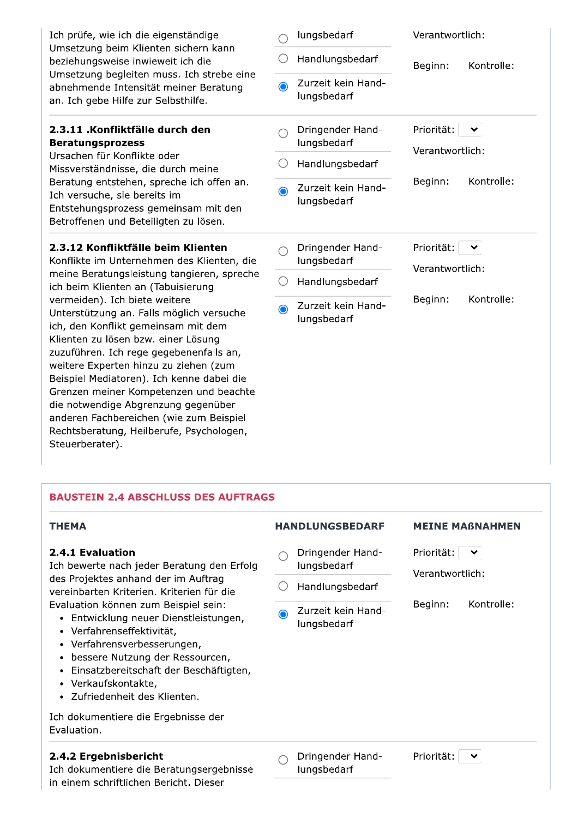| Ich prüfe, wie ich die eigenständige<br>Umsetzung beim Klienten sichern kann<br>beziehungsweise inwieweit ich die<br>Umsetzung begleiten muss. Ich strebe eine<br>abnehmende Intensität meiner Beratung<br>an. Ich gebe Hilfe zur Selbsthilfe.                                                |           | lungsbedarf<br>Handlungsbedarf    | Verantwortlich:<br>Kontrolle:<br>Beginn: |
|-----------------------------------------------------------------------------------------------------------------------------------------------------------------------------------------------------------------------------------------------------------------------------------------------|-----------|-----------------------------------|------------------------------------------|
|                                                                                                                                                                                                                                                                                               | $\bullet$ | Zurzeit kein Hand-<br>lungsbedarf |                                          |
| 2.3.11 .Konfliktfälle durch den<br><b>Beratungsprozess</b><br>Ursachen für Konflikte oder<br>Missverständnisse, die durch meine<br>Beratung entstehen, spreche ich offen an.<br>Ich versuche, sie bereits im<br>Entstehungsprozess gemeinsam mit den<br>Betroffenen und Beteiligten zu lösen. |           | Dringender Hand-<br>lungsbedarf   | Priorität:<br>丷<br>Verantwortlich:       |
|                                                                                                                                                                                                                                                                                               |           | Handlungsbedarf                   |                                          |
|                                                                                                                                                                                                                                                                                               | $\odot$   | Zurzeit kein Hand-<br>lungsbedarf | Kontrolle:<br>Beginn:                    |
| 2.3.12 Konfliktfälle beim Klienten<br>Konflikte im Unternehmen des Klienten, die                                                                                                                                                                                                              |           |                                   |                                          |
|                                                                                                                                                                                                                                                                                               |           | Dringender Hand-<br>lungsbedarf   | Priorität:<br>$\checkmark$               |
| meine Beratungsleistung tangieren, spreche<br>ich beim Klienten an (Tabuisierung                                                                                                                                                                                                              | ()        | Handlungsbedarf                   | Verantwortlich:                          |

# **BAUSTEIN 2.4 ABSCHLUSS DES AUFTRAGS**

| <b>THEMA</b>                                                                                                                                                                                                                                                                                                                                                                                                                                                                  | <b>HANDLUNGSBEDARF</b> |                                   |                 | <b>MEINE MABNAHMEN</b> |
|-------------------------------------------------------------------------------------------------------------------------------------------------------------------------------------------------------------------------------------------------------------------------------------------------------------------------------------------------------------------------------------------------------------------------------------------------------------------------------|------------------------|-----------------------------------|-----------------|------------------------|
| 2.4.1 Evaluation<br>Ich bewerte nach jeder Beratung den Erfolg<br>des Projektes anhand der im Auftrag<br>vereinbarten Kriterien. Kriterien für die<br>Evaluation können zum Beispiel sein:<br>Entwicklung neuer Dienstleistungen,<br>• Verfahrenseffektivität,<br>Verfahrensverbesserungen,<br>٠<br>bessere Nutzung der Ressourcen,<br>$\bullet$<br>Einsatzbereitschaft der Beschäftigten,<br>٠<br>Verkaufskontakte,<br>$\bullet$<br>Zufriedenheit des Klienten.<br>$\bullet$ |                        | Dringender Hand-<br>lungsbedarf   | Priorität:<br>丷 |                        |
|                                                                                                                                                                                                                                                                                                                                                                                                                                                                               |                        | Handlungsbedarf                   | Verantwortlich: |                        |
|                                                                                                                                                                                                                                                                                                                                                                                                                                                                               | ∩                      | Zurzeit kein Hand-<br>lungsbedarf | Beginn:         | Kontrolle:             |
| Ich dokumentiere die Ergebnisse der<br>Evaluation.                                                                                                                                                                                                                                                                                                                                                                                                                            |                        |                                   |                 |                        |
| 2.4.2 Ergebnisbericht<br>Ich dokumentiere die Beratungsergebnisse<br>in einem schriftlichen Bericht. Dieser                                                                                                                                                                                                                                                                                                                                                                   |                        | Dringender Hand-<br>lungsbedarf   | Priorität:      | $\checkmark$           |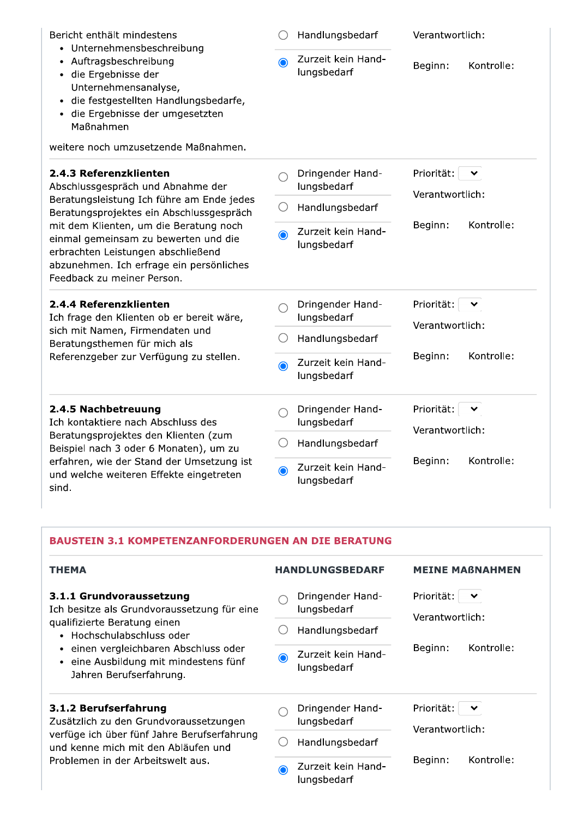| Bericht enthält mindestens<br>• Unternehmensbeschreibung<br>• Auftragsbeschreibung<br>· die Ergebnisse der<br>Unternehmensanalyse,<br>· die festgestellten Handlungsbedarfe,<br>· die Ergebnisse der umgesetzten<br>Maßnahmen<br>weitere noch umzusetzende Maßnahmen.                                                                                  | $\bullet$ | Handlungsbedarf<br>Zurzeit kein Hand-<br>lungsbedarf | Verantwortlich:<br>Kontrolle:<br>Beginn:      |
|--------------------------------------------------------------------------------------------------------------------------------------------------------------------------------------------------------------------------------------------------------------------------------------------------------------------------------------------------------|-----------|------------------------------------------------------|-----------------------------------------------|
| 2.4.3 Referenzklienten<br>Abschlussgespräch und Abnahme der<br>Beratungsleistung Ich führe am Ende jedes<br>Beratungsprojektes ein Abschlussgespräch<br>mit dem Klienten, um die Beratung noch<br>einmal gemeinsam zu bewerten und die<br>erbrachten Leistungen abschließend<br>abzunehmen. Ich erfrage ein persönliches<br>Feedback zu meiner Person. |           | Dringender Hand-<br>lungsbedarf                      | Priorität:<br>⌄<br>Verantwortlich:            |
|                                                                                                                                                                                                                                                                                                                                                        |           | Handlungsbedarf                                      |                                               |
|                                                                                                                                                                                                                                                                                                                                                        | $\bullet$ | Zurzeit kein Hand-<br>lungsbedarf                    | Kontrolle:<br>Beginn:                         |
| 2.4.4 Referenzklienten<br>Ich frage den Klienten ob er bereit wäre,<br>sich mit Namen, Firmendaten und<br>Beratungsthemen für mich als<br>Referenzgeber zur Verfügung zu stellen.                                                                                                                                                                      |           | Dringender Hand-<br>lungsbedarf                      | Priorität:<br>$\checkmark$<br>Verantwortlich: |
|                                                                                                                                                                                                                                                                                                                                                        |           | Handlungsbedarf                                      |                                               |
|                                                                                                                                                                                                                                                                                                                                                        | $\bullet$ | Zurzeit kein Hand-<br>lungsbedarf                    | Kontrolle:<br>Beginn:                         |
| 2.4.5 Nachbetreuung<br>Ich kontaktiere nach Abschluss des<br>Beratungsprojektes den Klienten (zum<br>Beispiel nach 3 oder 6 Monaten), um zu<br>erfahren, wie der Stand der Umsetzung ist<br>und welche weiteren Effekte eingetreten<br>sind.                                                                                                           |           | Dringender Hand-<br>lungsbedarf                      | Priorität:<br>Verantwortlich:                 |
|                                                                                                                                                                                                                                                                                                                                                        |           | Handlungsbedarf                                      |                                               |
|                                                                                                                                                                                                                                                                                                                                                        | ◉         | Zurzeit kein Hand-<br>lungsbedarf                    | Kontrolle:<br>Beginn:                         |

# **BAUSTEIN 3.1 KOMPETENZANFORDERUNGEN AN DIE BERATUNG**

| <b>HANDLUNGSBEDARF</b>                       | <b>MEINE MABNAHMEN</b>                        |  |
|----------------------------------------------|-----------------------------------------------|--|
| Dringender Hand-<br>lungsbedarf              | Priorität:<br>$\checkmark$<br>Verantwortlich: |  |
| Handlungsbedarf                              |                                               |  |
| Zurzeit kein Hand-<br>lungsbedarf            | Kontrolle:<br>Beginn:                         |  |
| Dringender Hand-<br>lungsbedarf              | Priorität:<br>$\checkmark$<br>Verantwortlich: |  |
| Handlungsbedarf                              |                                               |  |
| Zurzeit kein Hand-<br>$\odot$<br>lungsbedarf | Kontrolle:<br>Beginn:                         |  |
|                                              |                                               |  |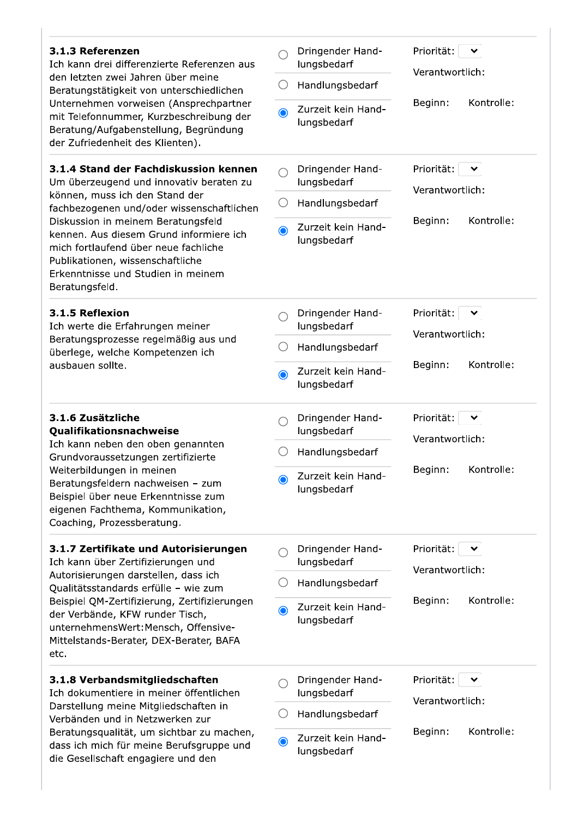| 3.1.3 Referenzen<br>Ich kann drei differenzierte Referenzen aus<br>den letzten zwei Jahren über meine<br>Beratungstätigkeit von unterschiedlichen<br>Unternehmen vorweisen (Ansprechpartner<br>mit Telefonnummer, Kurzbeschreibung der<br>Beratung/Aufgabenstellung, Begründung<br>der Zufriedenheit des Klienten).                                                                  |                 | Dringender Hand-<br>lungsbedarf   | Priorität:<br>丷<br>Verantwortlich:            |
|--------------------------------------------------------------------------------------------------------------------------------------------------------------------------------------------------------------------------------------------------------------------------------------------------------------------------------------------------------------------------------------|-----------------|-----------------------------------|-----------------------------------------------|
|                                                                                                                                                                                                                                                                                                                                                                                      | ( )             | Handlungsbedarf                   |                                               |
|                                                                                                                                                                                                                                                                                                                                                                                      | $\bullet$       | Zurzeit kein Hand-<br>lungsbedarf | Kontrolle:<br>Beginn:                         |
| 3.1.4 Stand der Fachdiskussion kennen<br>Um überzeugend und innovativ beraten zu<br>können, muss ich den Stand der<br>fachbezogenen und/oder wissenschaftlichen<br>Diskussion in meinem Beratungsfeld<br>kennen. Aus diesem Grund informiere ich<br>mich fortlaufend über neue fachliche<br>Publikationen, wissenschaftliche<br>Erkenntnisse und Studien in meinem<br>Beratungsfeld. |                 | Dringender Hand-<br>lungsbedarf   | Priorität:<br>$\checkmark$<br>Verantwortlich: |
|                                                                                                                                                                                                                                                                                                                                                                                      | $\left(\right)$ | Handlungsbedarf                   |                                               |
|                                                                                                                                                                                                                                                                                                                                                                                      | $\bigcirc$      | Zurzeit kein Hand-<br>lungsbedarf | Kontrolle:<br>Beginn:                         |
| 3.1.5 Reflexion<br>Ich werte die Erfahrungen meiner<br>Beratungsprozesse regelmäßig aus und<br>überlege, welche Kompetenzen ich<br>ausbauen sollte.                                                                                                                                                                                                                                  |                 | Dringender Hand-<br>lungsbedarf   | Priorität:<br>$\checkmark$<br>Verantwortlich: |
|                                                                                                                                                                                                                                                                                                                                                                                      |                 | Handlungsbedarf                   |                                               |
|                                                                                                                                                                                                                                                                                                                                                                                      | $\bullet$       | Zurzeit kein Hand-<br>lungsbedarf | Kontrolle:<br>Beginn:                         |
| 3.1.6 Zusätzliche<br>Qualifikationsnachweise<br>Ich kann neben den oben genannten<br>Grundvoraussetzungen zertifizierte<br>Weiterbildungen in meinen<br>Beratungsfeldern nachweisen - zum<br>Beispiel über neue Erkenntnisse zum<br>eigenen Fachthema, Kommunikation,<br>Coaching, Prozessberatung.                                                                                  |                 | Dringender Hand-<br>lungsbedarf   | Priorität:<br>Verantwortlich:                 |
|                                                                                                                                                                                                                                                                                                                                                                                      |                 | Handlungsbedarf                   |                                               |
|                                                                                                                                                                                                                                                                                                                                                                                      | $\bigcirc$      | Zurzeit kein Hand-<br>lungsbedarf | Kontrolle:<br>Beginn:                         |
| 3.1.7 Zertifikate und Autorisierungen<br>Ich kann über Zertifizierungen und<br>Autorisierungen darstellen, dass ich<br>Qualitätsstandards erfülle - wie zum<br>Beispiel QM-Zertifizierung, Zertifizierungen<br>der Verbände, KFW runder Tisch,<br>unternehmensWert: Mensch, Offensive-<br>Mittelstands-Berater, DEX-Berater, BAFA<br>etc.                                            |                 | Dringender Hand-<br>lungsbedarf   | Priorität:<br>Verantwortlich:                 |
|                                                                                                                                                                                                                                                                                                                                                                                      | ()              | Handlungsbedarf                   |                                               |
|                                                                                                                                                                                                                                                                                                                                                                                      | $\bullet$       | Zurzeit kein Hand-<br>lungsbedarf | Kontrolle:<br>Beginn:                         |
| 3.1.8 Verbandsmitgliedschaften<br>Ich dokumentiere in meiner öffentlichen<br>Darstellung meine Mitgliedschaften in<br>Verbänden und in Netzwerken zur<br>Beratungsqualität, um sichtbar zu machen,<br>dass ich mich für meine Berufsgruppe und<br>die Gesellschaft engagiere und den                                                                                                 |                 | Dringender Hand-<br>lungsbedarf   | Priorität:<br>Verantwortlich:                 |
|                                                                                                                                                                                                                                                                                                                                                                                      |                 | Handlungsbedarf                   |                                               |
|                                                                                                                                                                                                                                                                                                                                                                                      | $\bullet$       | Zurzeit kein Hand-<br>lungsbedarf | Kontrolle:<br>Beginn:                         |